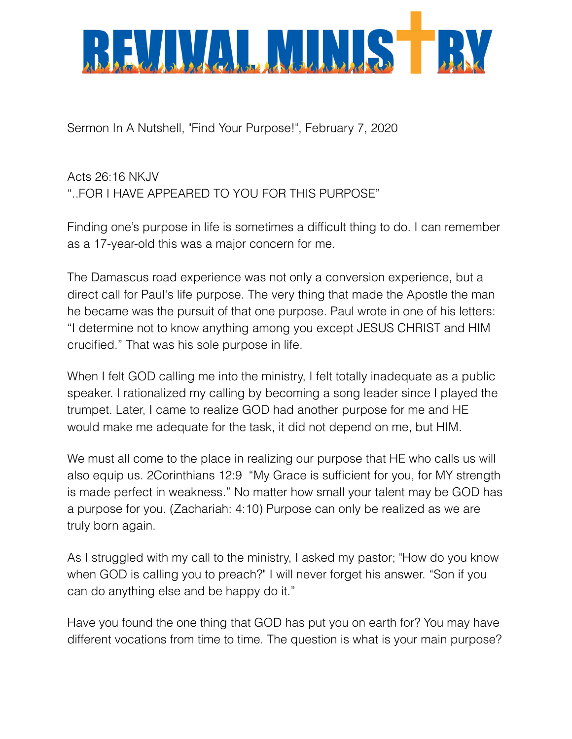

Sermon In A Nutshell, "Find Your Purpose!", February 7, 2020

Acts 26:16 NKJV "..FOR I HAVE APPEARED TO YOU FOR THIS PURPOSE"

Finding one's purpose in life is sometimes a difficult thing to do. I can remember as a 17-year-old this was a major concern for me.

The Damascus road experience was not only a conversion experience, but a direct call for Paul's life purpose. The very thing that made the Apostle the man he became was the pursuit of that one purpose. Paul wrote in one of his letters: "I determine not to know anything among you except JESUS CHRIST and HIM crucified." That was his sole purpose in life.

When I felt GOD calling me into the ministry, I felt totally inadequate as a public speaker. I rationalized my calling by becoming a song leader since I played the trumpet. Later, I came to realize GOD had another purpose for me and HE would make me adequate for the task, it did not depend on me, but HIM.

We must all come to the place in realizing our purpose that HE who calls us will also equip us. 2Corinthians 12:9 "My Grace is sufficient for you, for MY strength is made perfect in weakness." No matter how small your talent may be GOD has a purpose for you. (Zachariah: 4:10) Purpose can only be realized as we are truly born again.

As I struggled with my call to the ministry, I asked my pastor; "How do you know when GOD is calling you to preach?" I will never forget his answer. "Son if you can do anything else and be happy do it."

Have you found the one thing that GOD has put you on earth for? You may have different vocations from time to time. The question is what is your main purpose?